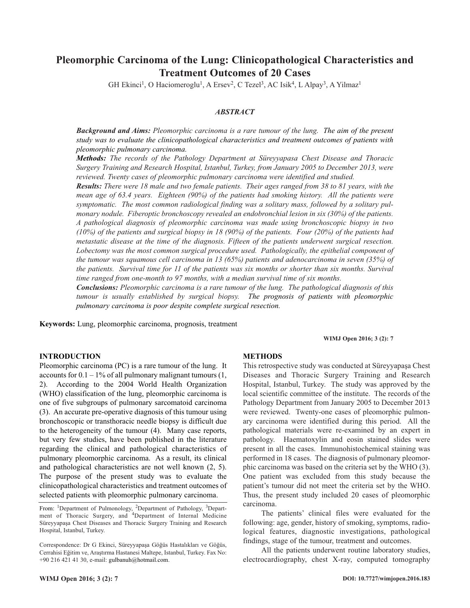# **Pleomorphic Carcinoma of the Lung: Clinicopathological Characteristics and Treatment Outcomes of 20 Cases**

GH Ekinci<sup>1</sup>, O Haciomeroglu<sup>1</sup>, A Ersev<sup>2</sup>, C Tezel<sup>3</sup>, AC Isik<sup>4</sup>, L Alpay<sup>3</sup>, A Yilmaz<sup>1</sup>

## *ABSTRACT*

*Background and Aims: Pleomorphic carcinoma is a rare tumour of the lung. The aim of the present study was to evaluate the clinicopathological characteristics and treatment outcomes of patients with pleomorphic pulmonary carcinoma.*

*Methods: The records of the Pathology Department at Süreyyapasa Chest Disease and Thoracic Surgery Training and Research Hospital, Istanbul, Turkey, from January 2005 to December 2013, were reviewed. Twenty cases of pleomorphic pulmonary carcinoma were identified and studied.*

**Results:** There were 18 male and two female patients. Their ages ranged from 38 to 81 years, with the *mean age of 63.4 years. Eighteen (90%) of the patients had smoking history. All the patients were symptomatic. The most common radiological finding was a solitary mass, followed by a solitary pulmonary nodule. Fiberoptic bronchoscopy revealed an endobronchial lesion in six (30%) of the patients. A pathological diagnosis of pleomorphic carcinoma was made using bronchoscopic biopsy in two* (10%) of the patients and surgical biopsy in 18 (90%) of the patients. Four (20%) of the patients had *metastatic disease at the time of the diagnosis. Fifteen of the patients underwent surgical resection. Lobectomy was the most common surgical procedure used. Pathologically, the epithelial component of the tumour was squamous cell carcinoma in 13 (65%) patients and adenocarcinoma in seven (35%) of* the patients. Survival time for 11 of the patients was six months or shorter than six months. Survival *time ranged from one-month to 97 months, with a median survival time of six months.*

*Conclusions: Pleomorphic carcinoma is a rare tumour of the lung. The pathological diagnosis of this tumour is usually established by surgical biopsy. The prognosis of patients with pleomorphic pulmonary carcinoma is poor despite complete surgical resection.*

**Keywords:** Lung, pleomorphic carcinoma, prognosis, treatment

**WIMJ Open 2016; 3 (2): 7**

## **INTRODUCTION**

Pleomorphic carcinoma (PC) is a rare tumour of the lung. It accounts for  $0.1 - 1\%$  of all pulmonary malignant tumours  $(1, 1\%$ 2). According to the 2004 World Health Organization (WHO) classification of the lung, pleomorphic carcinoma is one of five subgroups of pulmonary sarcomatoid carcinoma (3). An accurate pre-operative diagnosis of this tumour using bronchoscopic or transthoracic needle biopsy is difficult due to the heterogeneity of the tumour (4). Many case reports, but very few studies, have been published in the literature regarding the clinical and pathological characteristics of pulmonary pleomorphic carcinoma. As a result, its clinical and pathological characteristics are not well known (2, 5). The purpose of the present study was to evaluate the clinicopathological characteristics and treatment outcomes of selected patients with pleomorphic pulmonary carcinoma.

## **METHODS**

This retrospective study was conducted at Süreyyapaşa Chest Diseases and Thoracic Surgery Training and Research Hospital, Istanbul, Turkey. The study was approved by the local scientific committee of the institute. The records of the Pathology Department from January 2005 to December 2013 were reviewed. Twenty-one cases of pleomorphic pulmonary carcinoma were identified during this period. All the pathological materials were re-examined by an expert in pathology. Haematoxylin and eosin stained slides were present in all the cases. Immunohistochemical staining was performed in 18 cases. The diagnosis of pulmonary pleomorphic carcinoma was based on the criteria set by the WHO (3). One patient was excluded from this study because the patient's tumour did not meet the criteria set by the WHO. Thus, the present study included 20 cases of pleomorphic carcinoma.

The patients' clinical files were evaluated for the following: age, gender, history of smoking, symptoms, radiological features, diagnostic investigations, pathological findings, stage of the tumour, treatment and outcomes.

All the patients underwent routine laboratory studies, electrocardiography, chest X-ray, computed tomography

From: <sup>1</sup>Department of Pulmonology, <sup>2</sup>Department of Pathology, <sup>3</sup>Department of Thoracic Surgery, and 4Department of Internal Medicine Süreyyapaşa Chest Diseases and Thoracic Surgery Training and Research Hospital, Istanbul, Turkey.

Correspondence: Dr G Ekinci, Süreyyapaşa Göğüs Hastalıkları ve Göğüs, Cerrahisi Eğitim ve, Araştırma Hastanesi Maltepe, Istanbul, Turkey. Fax No: +90 216 421 41 30, e-mail: gulbanuh@hotmail.com.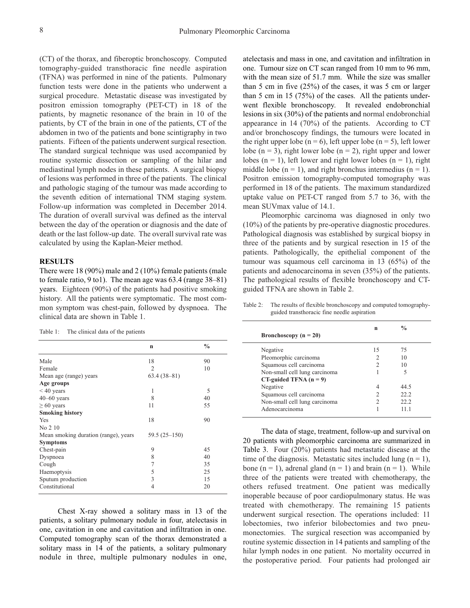(CT) of the thorax, and fiberoptic bronchoscopy. Computed tomography-guided transthoracic fine needle aspiration (TFNA) was performed in nine of the patients. Pulmonary function tests were done in the patients who underwent a surgical procedure. Metastatic disease was investigated by positron emission tomography (PET-CT) in 18 of the patients, by magnetic resonance of the brain in 10 of the patients, by CT of the brain in one of the patients, CT of the abdomen in two of the patients and bone scintigraphy in two patients. Fifteen of the patients underwent surgical resection. The standard surgical technique was used accompanied by routine systemic dissection or sampling of the hilar and mediastinal lymph nodes in these patients. A surgical biopsy of lesions was performed in three of the patients. The clinical and pathologic staging of the tumour was made according to the seventh edition of international TNM staging system. Follow-up information was completed in December 2014. The duration of overall survival was defined as the interval between the day of the operation or diagnosis and the date of death or the last follow-up date. The overall survival rate was calculated by using the Kaplan-Meier method.

#### **RESULTS**

There were 18 (90%) male and 2 (10%) female patients (male to female ratio, 9 to1). The mean age was 63.4 (range 38–81) years. Eighteen (90%) of the patients had positive smoking history. All the patients were symptomatic. The most common symptom was chest-pain, followed by dyspnoea. The clinical data are shown in Table 1.

Table 1: The clinical data of the patients

|                                      | $\mathbf n$    | $\frac{0}{0}$ |
|--------------------------------------|----------------|---------------|
| Male                                 | 18             | 90            |
| Female                               | $\overline{2}$ | 10            |
| Mean age (range) years               | $63.4(38-81)$  |               |
| Age groups                           |                |               |
| $< 40$ years                         | 1              | 5             |
| $40-60$ years                        | 8              | 40            |
| $\geq 60$ years                      | 11             | 55            |
| <b>Smoking history</b>               |                |               |
| Yes                                  | 18             | 90            |
| No 2 10                              |                |               |
| Mean smoking duration (range), years | $59.5(25-150)$ |               |
| <b>Symptoms</b>                      |                |               |
| Chest-pain                           | 9              | 45            |
| Dyspnoea                             | 8              | 40            |
| Cough                                | 7              | 35            |
| Haemoptysis                          | 5              | 25            |
| Sputum production                    | 3              | 15            |
| Constitutional                       | 4              | 20            |

Chest X-ray showed a solitary mass in 13 of the patients, a solitary pulmonary nodule in four, atelectasis in one, cavitation in one and cavitation and infiltration in one. Computed tomography scan of the thorax demonstrated a solitary mass in 14 of the patients, a solitary pulmonary nodule in three, multiple pulmonary nodules in one, atelectasis and mass in one, and cavitation and infiltration in one. Tumour size on CT scan ranged from 10 mm to 96 mm, with the mean size of 51.7 mm. While the size was smaller than 5 cm in five (25%) of the cases, it was 5 cm or larger than 5 cm in 15 (75%) of the cases. All the patients underwent flexible bronchoscopy. It revealed endobronchial lesions in six (30%) of the patients and normal endobronchial appearance in 14 (70%) of the patients. According to CT and/or bronchoscopy findings, the tumours were located in the right upper lobe ( $n = 6$ ), left upper lobe ( $n = 5$ ), left lower lobe ( $n = 3$ ), right lower lobe ( $n = 2$ ), right upper and lower lobes ( $n = 1$ ), left lower and right lower lobes ( $n = 1$ ), right middle lobe ( $n = 1$ ), and right bronchus intermedius ( $n = 1$ ). Positron emission tomography-computed tomography was performed in 18 of the patients. The maximum standardized uptake value on PET-CT ranged from 5.7 to 36, with the mean SUVmax value of 14.1.

Pleomorphic carcinoma was diagnosed in only two (10%) of the patients by pre-operative diagnostic procedures. Pathological diagnosis was established by surgical biopsy in three of the patients and by surgical resection in 15 of the patients. Pathologically, the epithelial component of the tumour was squamous cell carcinoma in 13 (65%) of the patients and adenocarcinoma in seven (35%) of the patients. The pathological results of flexible bronchoscopy and CTguided TFNA are shown in Table 2.

Table 2: The results of flexible bronchoscopy and computed tomographyguided transthoracic fine needle aspiration

| Bronchoscopy ( $n = 20$ )     | n  | $\frac{0}{0}$ |  |
|-------------------------------|----|---------------|--|
|                               |    |               |  |
| Negative                      | 15 | 75            |  |
| Pleomorphic carcinoma         |    | 10            |  |
| Squamous cell carcinoma       |    | 10            |  |
| Non-small cell lung carcinoma |    | 5             |  |
| $CT$ -guided TFNA $(n = 9)$   |    |               |  |
| Negative                      | 4  | 44.5          |  |
| Squamous cell carcinoma       |    | 22.2          |  |
| Non-small cell lung carcinoma |    | 22.2          |  |
| Adenocarcinoma                |    | 11 1          |  |

The data of stage, treatment, follow-up and survival on 20 patients with pleomorphic carcinoma are summarized in Table 3. Four (20%) patients had metastatic disease at the time of the diagnosis. Metastatic sites included lung  $(n = 1)$ , bone  $(n = 1)$ , adrenal gland  $(n = 1)$  and brain  $(n = 1)$ . While three of the patients were treated with chemotherapy, the others refused treatment. One patient was medically inoperable because of poor cardiopulmonary status. He was treated with chemotherapy. The remaining 15 patients underwent surgical resection. The operations included: 11 lobectomies, two inferior bilobectomies and two pneumonectomies. The surgical resection was accompanied by routine systemic dissection in 14 patients and sampling of the hilar lymph nodes in one patient. No mortality occurred in the postoperative period. Four patients had prolonged air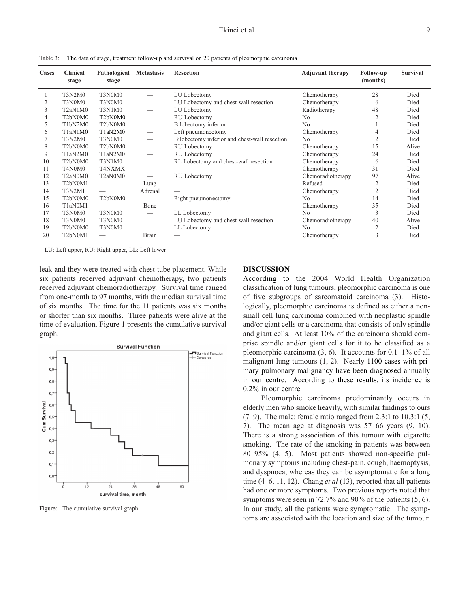| Cases | <b>Clinical</b><br>stage                      | Pathological<br>stage                         | <b>Metastasis</b>        | <b>Resection</b>                              | <b>Adjuvant therapy</b> | Follow-up<br>(months) | Survival |
|-------|-----------------------------------------------|-----------------------------------------------|--------------------------|-----------------------------------------------|-------------------------|-----------------------|----------|
|       | <b>T3N2M0</b>                                 | T3N0M0                                        |                          | LU Lobectomy                                  | Chemotherapy            | 28                    | Died     |
| 2     | T3N0M0                                        | T3N0M0                                        |                          | LU Lobectomy and chest-wall resection         | Chemotherapy            | 6                     | Died     |
| 3     | T <sub>2a</sub> N <sub>1</sub> M <sub>0</sub> | T3N1M0                                        |                          | LU Lobectomy                                  | Radiotherapy            | 48                    | Died     |
| 4     | T <sub>2</sub> bN <sub>0</sub> M <sub>0</sub> | T <sub>2</sub> bN <sub>0</sub> M <sub>0</sub> | $\overline{\phantom{a}}$ | RU Lobectomy                                  | N <sub>o</sub>          |                       | Died     |
| 5     | T <sub>1</sub> bN <sub>2</sub> M <sub>0</sub> | T <sub>2</sub> bN <sub>0</sub> M <sub>0</sub> | $\overline{\phantom{m}}$ | Bilobectomy inferior                          | N <sub>0</sub>          |                       | Died     |
| 6     | T <sub>1</sub> aN <sub>1</sub> M <sub>0</sub> | T <sub>1</sub> aN <sub>2</sub> M <sub>0</sub> | $\overline{\phantom{m}}$ | Left pneumonectomy                            | Chemotherapy            | 4                     | Died     |
|       | T3N2M0                                        | T3N0M0                                        | $\overline{\phantom{a}}$ | Bilobectomy inferior and chest-wall resection | N <sub>0</sub>          | 2                     | Died     |
| 8     | T <sub>2</sub> bN <sub>0</sub> M <sub>0</sub> | T <sub>2</sub> bN <sub>0</sub> M <sub>0</sub> | $\overline{\phantom{m}}$ | RU Lobectomy                                  | Chemotherapy            | 15                    | Alive    |
| 9     | T1aN2M0                                       | T1aN2M0                                       | $\overline{\phantom{m}}$ | RU Lobectomy                                  | Chemotherapy            | 24                    | Died     |
| 10    | T <sub>2</sub> bN <sub>0</sub> M <sub>0</sub> | T3N1M0                                        |                          | RL Lobectomy and chest-wall resection         | Chemotherapy            | 6                     | Died     |
| 11    | T4N0M0                                        | T4NXMX                                        |                          |                                               | Chemotherapy            | 31                    | Died     |
| 12    | T <sub>2a</sub> N <sub>0</sub> M <sub>0</sub> | T <sub>2a</sub> N <sub>0</sub> M <sub>0</sub> | $\overline{\phantom{m}}$ | RU Lobectomy                                  | Chemoradiotherapy       | 97                    | Alive    |
| 13    | T <sub>2</sub> bN0M <sub>1</sub>              | $\hspace{0.1mm}-\hspace{0.1mm}$               | Lung                     |                                               | Refused                 | $\overline{2}$        | Died     |
| 14    | <b>T3N2M1</b>                                 | $\overline{\phantom{0}}$                      | Adrenal                  |                                               | Chemotherapy            | $\mathfrak{2}$        | Died     |
| 15    | T <sub>2</sub> bN <sub>0</sub> M <sub>0</sub> | T <sub>2</sub> bN <sub>0</sub> M <sub>0</sub> |                          | Right pneumonectomy                           | N <sub>o</sub>          | 14                    | Died     |
| 16    | T1aN0M1                                       |                                               | Bone                     |                                               | Chemotherapy            | 35                    | Died     |
| 17    | T3N0M0                                        | T3N0M0                                        |                          | LL Lobectomy                                  | N <sub>0</sub>          | 3                     | Died     |
| 18    | T3N0M0                                        | T3N0M0                                        | $\overline{\phantom{m}}$ | LU Lobectomy and chest-wall resection         | Chemoradiotherapy       | 40                    | Alive    |
| 19    | T <sub>2</sub> bN <sub>0</sub> M <sub>0</sub> | T3N0M0                                        |                          | LL Lobectomy                                  | N <sub>o</sub>          | $\overline{2}$        | Died     |
| 20    | T <sub>2</sub> bN <sub>0</sub> M <sub>1</sub> |                                               | Brain                    |                                               | Chemotherapy            | 3                     | Died     |

Table 3: The data of stage, treatment follow-up and survival on 20 patients of pleomorphic carcinoma

LU: Left upper, RU: Right upper, LL: Left lower

leak and they were treated with chest tube placement. While six patients received adjuvant chemotherapy, two patients received adjuvant chemoradiotherapy. Survival time ranged from one-month to 97 months, with the median survival time of six months. The time for the 11 patients was six months or shorter than six months. Three patients were alive at the time of evaluation. Figure 1 presents the cumulative survival graph.



Figure: The cumulative survival graph.

#### **DISCUSSION**

According to the 2004 World Health Organization classification of lung tumours, pleomorphic carcinoma is one of five subgroups of sarcomatoid carcinoma (3). Histologically, pleomorphic carcinoma is defined as either a nonsmall cell lung carcinoma combined with neoplastic spindle and/or giant cells or a carcinoma that consists of only spindle and giant cells. At least 10% of the carcinoma should comprise spindle and/or giant cells for it to be classified as a pleomorphic carcinoma  $(3, 6)$ . It accounts for  $0.1-1\%$  of all malignant lung tumours (1, 2). Nearly 1100 cases with primary pulmonary malignancy have been diagnosed annually in our centre. According to these results, its incidence is 0.2% in our centre.

Pleomorphic carcinoma predominantly occurs in elderly men who smoke heavily, with similar findings to ours (7–9). The male: female ratio ranged from 2.3:1 to 10.3:1 (5, 7). The mean age at diagnosis was 57–66 years (9, 10). There is a strong association of this tumour with cigarette smoking. The rate of the smoking in patients was between 80–95% (4, 5). Most patients showed non-specific pulmonary symptoms including chest-pain, cough, haemoptysis, and dyspnoea, whereas they can be asymptomatic for a long time (4–6, 11, 12). Chang *et al* (13), reported that all patients had one or more symptoms. Two previous reports noted that symptoms were seen in 72.7% and 90% of the patients (5, 6). In our study, all the patients were symptomatic. The symptoms are associated with the location and size of the tumour.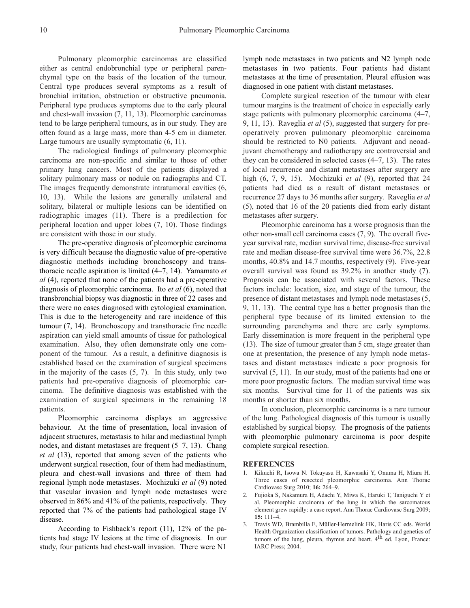Pulmonary pleomorphic carcinomas are classified either as central endobronchial type or peripheral parenchymal type on the basis of the location of the tumour. Central type produces several symptoms as a result of bronchial irritation, obstruction or obstructive pneumonia. Peripheral type produces symptoms due to the early pleural and chest-wall invasion (7, 11, 13). Pleomorphic carcinomas tend to be large peripheral tumours, as in our study. They are often found as a large mass, more than 4-5 cm in diameter. Large tumours are usually symptomatic (6, 11).

The radiological findings of pulmonary pleomorphic carcinoma are non-specific and similar to those of other primary lung cancers. Most of the patients displayed a solitary pulmonary mass or nodule on radiographs and CT. The images frequently demonstrate intratumoral cavities (6, 10, 13). While the lesions are generally unilateral and solitary, bilateral or multiple lesions can be identified on radiographic images (11). There is a predilection for peripheral location and upper lobes (7, 10). Those findings are consistent with those in our study.

The pre-operative diagnosis of pleomorphic carcinoma is very difficult because the diagnostic value of pre-operative diagnostic methods including bronchoscopy and transthoracic needle aspiration is limited (4–7, 14). Yamamato *et al* (4), reported that none of the patients had a pre-operative diagnosis of pleomorphic carcinoma. Ito *et al* (6), noted that transbronchial biopsy was diagnostic in three of 22 cases and there were no cases diagnosed with cytological examination. This is due to the heterogeneity and rare incidence of this tumour (7, 14). Bronchoscopy and transthoracic fine needle aspiration can yield small amounts of tissue for pathological examination. Also, they often demonstrate only one component of the tumour. As a result, a definitive diagnosis is established based on the examination of surgical specimens in the majority of the cases (5, 7). In this study, only two patients had pre-operative diagnosis of pleomorphic carcinoma. The definitive diagnosis was established with the examination of surgical specimens in the remaining 18 patients.

Pleomorphic carcinoma displays an aggressive behaviour. At the time of presentation, local invasion of adjacent structures, metastasis to hilar and mediastinal lymph nodes, and distant metastases are frequent (5–7, 13). Chang *et al* (13), reported that among seven of the patients who underwent surgical resection, four of them had mediastinum, pleura and chest-wall invasions and three of them had regional lymph node metastases. Mochizuki *et al* (9) noted that vascular invasion and lymph node metastases were observed in 86% and 41% of the patients, respectively. They reported that 7% of the patients had pathological stage IV disease.

According to Fishback's report (11), 12% of the patients had stage IV lesions at the time of diagnosis. In our study, four patients had chest-wall invasion. There were N1

lymph node metastases in two patients and N2 lymph node metastases in two patients. Four patients had distant metastases at the time of presentation. Pleural effusion was diagnosed in one patient with distant metastases.

Complete surgical resection of the tumour with clear tumour margins is the treatment of choice in especially early stage patients with pulmonary pleomorphic carcinoma (4–7, 9, 11, 13). Raveglia *et al* (5), suggested that surgery for preoperatively proven pulmonary pleomorphic carcinoma should be restricted to N0 patients. Adjuvant and neoadjuvant chemotherapy and radiotherapy are controversial and they can be considered in selected cases (4–7, 13). The rates of local recurrence and distant metastases after surgery are high (6, 7, 9, 15). Mochizuki *et al* (9), reported that 24 patients had died as a result of distant metastases or recurrence 27 days to 36 months after surgery. Raveglia *et al* (5), noted that 16 of the 20 patients died from early distant metastases after surgery.

Pleomorphic carcinoma has a worse prognosis than the other non-small cell carcinoma cases (7, 9). The overall fiveyear survival rate, median survival time, disease-free survival rate and median disease-free survival time were 36.7%, 22.8 months, 40.8% and 14.7 months, respectively (9). Five-year overall survival was found as 39.2% in another study (7). Prognosis can be associated with several factors. These factors include: location, size, and stage of the tumour, the presence of distant metastases and lymph node metastases (5, 9, 11, 13). The central type has a better prognosis than the peripheral type because of its limited extension to the surrounding parenchyma and there are early symptoms. Early dissemination is more frequent in the peripheral type (13). The size of tumour greater than 5 cm, stage greater than one at presentation, the presence of any lymph node metastases and distant metastases indicate a poor prognosis for survival (5, 11). In our study, most of the patients had one or more poor prognostic factors. The median survival time was six months. Survival time for 11 of the patients was six months or shorter than six months.

In conclusion, pleomorphic carcinoma is a rare tumour of the lung. Pathological diagnosis of this tumour is usually established by surgical biopsy. The prognosis of the patients with pleomorphic pulmonary carcinoma is poor despite complete surgical resection.

#### **REFERENCES**

- 1. Kikuchi R, Isowa N. Tokuyasu H, Kawasaki Y, Onuma H, Miura H. Three cases of resected pleomorphic carcinoma. Ann Thorac Cardiovasc Surg 2010; **16:** 264–9.
- 2. Fujioka S, Nakamura H, Adachi Y, Miwa K, Haruki T, Taniguchi Y et al. Pleomorphic carcinoma of the lung in which the sarcomatous element grew rapidly: a case report. Ann Thorac Cardiovasc Surg 2009; **15:** 111–4.
- 3. Travis WD, Brambilla E, Müller-Hermelink HK, Haris CC eds. World Health Organization classification of tumors. Pathology and genetics of tumors of the lung, pleura, thymus and heart.  $4<sup>th</sup>$  ed. Lyon, France: IARC Press; 2004.